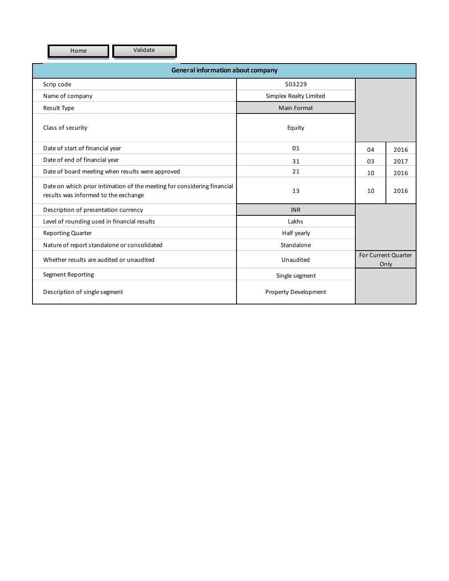Home **Validate** 

| <b>General information about company</b>                                                                        |                        |                             |      |  |  |  |
|-----------------------------------------------------------------------------------------------------------------|------------------------|-----------------------------|------|--|--|--|
| Scrip code                                                                                                      | 503229                 |                             |      |  |  |  |
| Name of company                                                                                                 | Simplex Realty Limited |                             |      |  |  |  |
| Result Type                                                                                                     | Main Format            |                             |      |  |  |  |
| Class of security                                                                                               | Equity                 |                             |      |  |  |  |
| Date of start of financial year                                                                                 | 01                     | 04                          | 2016 |  |  |  |
| Date of end of financial year                                                                                   | 31                     | 03                          | 2017 |  |  |  |
| Date of board meeting when results were approved                                                                | 21                     | 10                          | 2016 |  |  |  |
| Date on which prior intimation of the meeting for considering financial<br>results was informed to the exchange | 13                     | 10                          | 2016 |  |  |  |
| Description of presentation currency                                                                            | <b>INR</b>             |                             |      |  |  |  |
| Level of rounding used in financial results                                                                     | Lakhs                  |                             |      |  |  |  |
| <b>Reporting Quarter</b>                                                                                        | Half yearly            |                             |      |  |  |  |
| Nature of report standalone or consolidated                                                                     | Standalone             |                             |      |  |  |  |
| Whether results are audited or unaudited                                                                        | Unaudited              | For Current Quarter<br>Only |      |  |  |  |
| Segment Reporting                                                                                               | Single segment         |                             |      |  |  |  |
| Description of single segment                                                                                   | Property Development   |                             |      |  |  |  |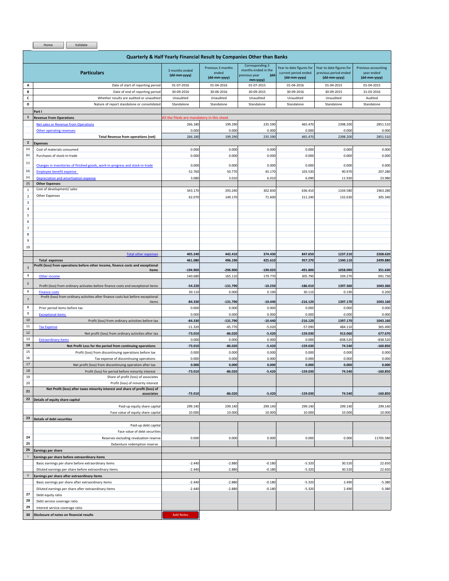Home Validate

|                           | <b>Quarterly &amp; Half Yearly Financial Result by Companies Other than Banks</b>          |                                            |                                            |                                                                             |                                                                  |                                                                   |                                                   |
|---------------------------|--------------------------------------------------------------------------------------------|--------------------------------------------|--------------------------------------------|-----------------------------------------------------------------------------|------------------------------------------------------------------|-------------------------------------------------------------------|---------------------------------------------------|
|                           | <b>Particulars</b>                                                                         | 3 months ended<br>(dd-mm-yyyy)             | Previous 3 months<br>ended<br>(dd-mm-yyyy) | Corresponding 3<br>months ended in the<br>previous year<br>(dd-<br>mm-yyyy) | Year to date figures for<br>current period ended<br>(dd-mm-yyyy) | Year to date figures for<br>previous period ended<br>(dd-mm-yyyy) | Previous accounting<br>year ended<br>(dd-mm-yyyy) |
| Α                         | Date of start of reporting period                                                          | 01-07-2016                                 | 01-04-2016                                 | 01-07-2015                                                                  | 01-04-2016                                                       | 01-04-2015                                                        | 01-04-2015                                        |
| B                         | Date of end of reporting period                                                            | 30-09-2016                                 | 30-06-2016                                 | 30-09-2015                                                                  | 30-09-2016                                                       | 30-09-2015                                                        | 31-03-2016                                        |
| $\mathsf{c}$              | Whether results are audited or unaudited                                                   | Unaudited                                  | Unaudited                                  | Unaudited                                                                   | Unaudited                                                        | Unaudited                                                         | Audited                                           |
| D                         | Nature of report standalone or consolidated                                                | Standalone                                 | Standalone                                 | Standalone                                                                  | Standalone                                                       | Standalone                                                        | Standalone                                        |
|                           | Part I                                                                                     |                                            |                                            |                                                                             |                                                                  |                                                                   |                                                   |
| $\mathbf 1$               | <b>Revenue From Operations</b>                                                             | All the fileds are mandatory in this sheet |                                            |                                                                             |                                                                  |                                                                   |                                                   |
|                           | Net sales or Revenue from Operations                                                       | 266.180                                    | 199.290                                    | 235.590                                                                     | 465.470                                                          | 2398.200                                                          | 2851.510                                          |
|                           | Other operating revenues                                                                   | 0.000                                      | 0.000                                      | 0.000                                                                       | 0.000                                                            | 0.000                                                             | 0.000                                             |
|                           | <b>Total Revenue from operations (net)</b>                                                 | 266.180                                    | 199.290                                    | 235.590                                                                     | 465.470                                                          | 2398.200                                                          | 2851.510                                          |
| $\mathbf 2$               | Expenses                                                                                   |                                            |                                            |                                                                             |                                                                  |                                                                   |                                                   |
| (a)                       | Cost of materials consumed                                                                 | 0.000                                      | 0.000                                      | 0.000                                                                       | 0.000                                                            | 0.000                                                             | 0.000                                             |
| (b)                       | Purchases of stock-in-trade                                                                | 0.000                                      | 0.000                                      | 0.000                                                                       | 0.000                                                            | 0.000                                                             | 0.000                                             |
| (c)                       | Changes in inventories of finished goods, work-in-progress and stock-in-trade              | 0.000                                      | 0.000                                      | 0.000                                                                       | 0.000                                                            | 0.000                                                             | 0.000                                             |
| (d)                       | <b>Employee benefit expense</b>                                                            | 52.760                                     | 50.770                                     | 45.170                                                                      | 103.530                                                          | 90.970                                                            | 207.280                                           |
| (e)                       | Depreciation and amortisation expense                                                      | 3.080                                      | 3.010                                      | 6.010                                                                       | 6.090                                                            | 11.930                                                            | 23.980                                            |
| (f)                       | <b>Other Expenses</b>                                                                      |                                            |                                            |                                                                             |                                                                  |                                                                   |                                                   |
| $\mathbf 1$               | Cost of development/ sales                                                                 | 343.170                                    | 293.240                                    | 302.830                                                                     | 636.410                                                          | 1104.580                                                          | 1963.280                                          |
| $\overline{\mathbf{2}}$   | Other Expenses                                                                             | 62.070                                     | 149.170                                    | 71.600                                                                      | 211.240                                                          | 132.630                                                           | 305.340                                           |
| $\ensuremath{\mathsf{3}}$ |                                                                                            |                                            |                                            |                                                                             |                                                                  |                                                                   |                                                   |
| $\sqrt{4}$                |                                                                                            |                                            |                                            |                                                                             |                                                                  |                                                                   |                                                   |
| 5                         |                                                                                            |                                            |                                            |                                                                             |                                                                  |                                                                   |                                                   |
| 6                         |                                                                                            |                                            |                                            |                                                                             |                                                                  |                                                                   |                                                   |
| $\overline{7}$            |                                                                                            |                                            |                                            |                                                                             |                                                                  |                                                                   |                                                   |
| 8                         |                                                                                            |                                            |                                            |                                                                             |                                                                  |                                                                   |                                                   |
| 9                         |                                                                                            |                                            |                                            |                                                                             |                                                                  |                                                                   |                                                   |
| 10                        |                                                                                            |                                            |                                            |                                                                             |                                                                  |                                                                   |                                                   |
|                           | <b>Total other expenses</b>                                                                | 405.240                                    | 442.410                                    | 374.430                                                                     | 847.650                                                          | 1237.210                                                          | 2268.620                                          |
|                           | <b>Total expenses</b>                                                                      | 461.080                                    | 496.190                                    | 425.610                                                                     | 957.270                                                          | 1340.110                                                          | 2499.880                                          |
| $\overline{\mathbf{3}}$   | Profit (loss) from operations before other income, finance costs and exceptional<br>items  | $-194.900$                                 | $-296.900$                                 | $-190.020$                                                                  | $-491.800$                                                       | 1058.090                                                          | 351.630                                           |
| 4                         | Other income                                                                               | 140.680                                    | 165.110                                    | 179.770                                                                     | 305.790                                                          | 339.270                                                           | 691.730                                           |
|                           |                                                                                            |                                            |                                            |                                                                             |                                                                  |                                                                   |                                                   |
| $\sf 5$                   | Profit (loss) from ordinary activates before finance costs and exceptional items           | $-54.220$                                  | $-131.790$                                 | $-10.250$                                                                   | $-186.010$                                                       | 1397.360                                                          | 1043.360                                          |
| $\sf 6$                   | <b>Finance costs</b>                                                                       | 30.110                                     | 0.000                                      | 0.190                                                                       | 30.110                                                           | 0.190                                                             | 0.200                                             |
| $\overline{7}$            | Profit (loss) from ordinary activities after finance costs but before exceptional<br>items | $-84.330$                                  | $-131.790$                                 | $-10.440$                                                                   | $-216.120$                                                       | 1397.170                                                          | 1043.160                                          |
| 8                         | Prior period items before tax                                                              | 0.000                                      | 0.000                                      | 0.000                                                                       | 0.000                                                            | 0.000                                                             | 0.000                                             |
| 9                         | <b>Exceptional items</b>                                                                   | 0.000                                      | 0.000                                      | 0.000                                                                       | 0.000                                                            | 0.000                                                             | 0.000                                             |
| 10                        | Profit (loss) from ordinary activities before tax                                          | $-84.330$                                  | $-131.790$                                 | $-10.440$                                                                   | $-216.120$                                                       | 1397.170                                                          | 1043.160                                          |
| 11                        | <b>Tax Expense</b>                                                                         | $-11.320$                                  | $-45.770$                                  | $-5.020$                                                                    | $-57.090$                                                        | 484.110                                                           | 365.490                                           |
| $12\,$                    | Net profit (loss) from ordinary activities after tax                                       | $-73.010$                                  | $-86.020$                                  | $-5.420$                                                                    | $-159.030$                                                       | 913.060                                                           | 677.670                                           |
| 13                        | <b>Extraordinary items</b>                                                                 | 0.000                                      | 0.000                                      | 0.000                                                                       | 0.000                                                            | $-838.520$                                                        | $-838.520$                                        |
| 14                        | Net Profit Loss for the period from continuing operations                                  | $-73.010$                                  | $-86.020$                                  | $-5.420$                                                                    | $-159.030$                                                       | 74.540                                                            | $-160.850$                                        |
| 15                        | Profit (loss) from discontinuing operations before tax                                     | 0.000                                      | 0.000                                      | 0.000                                                                       | 0.000                                                            | 0.000                                                             | 0.000                                             |
| 16                        | Tax expense of discontinuing operations                                                    | 0.000                                      | 0.000                                      | 0.000                                                                       | 0.000                                                            | 0.000                                                             | 0.000                                             |
| 17                        | Net profit (loss) from discontinuing operation after tax                                   | 0.000                                      | 0.000                                      | 0.000                                                                       | 0.000                                                            | 0.000                                                             | 0.000                                             |
| 18                        | Profit (loss) for period before minority interest                                          | $-73.010$                                  | $-86.020$                                  | $-5.420$                                                                    | $-159.030$                                                       | 74.540                                                            | $-160.850$                                        |
| 19                        | Share of profit (loss) of associates                                                       |                                            |                                            |                                                                             |                                                                  |                                                                   |                                                   |
| 20                        | Profit (loss) of minority interest                                                         |                                            |                                            |                                                                             |                                                                  |                                                                   |                                                   |
| 21                        | Net Profit (loss) after taxes minority interest and share of profit (loss) of              |                                            |                                            |                                                                             |                                                                  |                                                                   |                                                   |
| 22                        | associates                                                                                 | $-73.010$                                  | $-86.020$                                  | $-5.420$                                                                    | $-159.030$                                                       | 74.540                                                            | $-160.850$                                        |
|                           | Details of equity share capital                                                            |                                            |                                            |                                                                             |                                                                  |                                                                   |                                                   |
|                           | Paid-up equity share capital<br>Face value of equity share capital                         | 299.140<br>10.000                          | 299.140<br>10.000                          | 299.140<br>10.000                                                           | 299.140<br>10.000                                                | 299.140<br>10.000                                                 | 299.140<br>10.000                                 |
| 23                        | <b>Details of debt securities</b>                                                          |                                            |                                            |                                                                             |                                                                  |                                                                   |                                                   |
|                           | Paid-up debt capital                                                                       |                                            |                                            |                                                                             |                                                                  |                                                                   |                                                   |
|                           | Face value of debt securities                                                              |                                            |                                            |                                                                             |                                                                  |                                                                   |                                                   |
| 24                        | Reserves excluding revaluation reserve                                                     | 0.000                                      | 0.000                                      | 0.000                                                                       | 0.000                                                            | 0.000                                                             | 11705.580                                         |
| 25                        | Debenture redemption reserve                                                               |                                            |                                            |                                                                             |                                                                  |                                                                   |                                                   |
| 26                        | Earnings per share                                                                         |                                            |                                            |                                                                             |                                                                  |                                                                   |                                                   |
| j                         | Earnings per share before extraordinary items                                              |                                            |                                            |                                                                             |                                                                  |                                                                   |                                                   |
|                           | Basic earnings per share before extraordinary items                                        | $-2.440$                                   | $-2.880$                                   | $-0.180$                                                                    | $-5.320$                                                         | 30.520                                                            | 22.650                                            |
|                           | Diluted earnings per share before extraordinary items                                      | $-2.440$                                   | $-2.880$                                   | $-0.180$                                                                    | $-5.320$                                                         | 30.520                                                            | 22.650                                            |
| $\mathbf{0}$              | Earnings per share after extraordinary items                                               |                                            |                                            |                                                                             |                                                                  |                                                                   |                                                   |
|                           | Basic earnings per share after extraordinary items                                         | $-2.440$                                   | $-2.880$                                   | $-0.180$                                                                    | $-5.320$                                                         | 2.490                                                             | $-5.380$                                          |
|                           | Diluted earnings per share after extraordinary items                                       | $-2.440$                                   | $-2.880$                                   | $-0.180$                                                                    | $-5.320$                                                         | 2.490                                                             | $-5.380$                                          |
| 27                        | Debt equity ratio                                                                          |                                            |                                            |                                                                             |                                                                  |                                                                   |                                                   |
| 28                        | Debt service coverage ratio                                                                |                                            |                                            |                                                                             |                                                                  |                                                                   |                                                   |
| 29                        | Interest service coverage ratio                                                            |                                            |                                            |                                                                             |                                                                  |                                                                   |                                                   |

**30 Disclosure of notes on financial results** 2 Add Notes